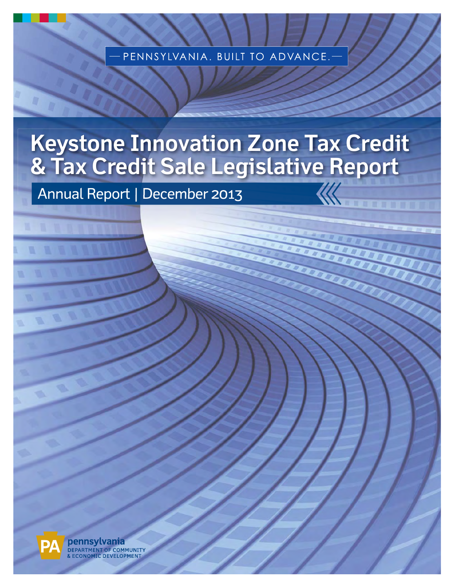PENNSYLVANIA. BUILT TO ADVANCE.

# **Keystone Innovation Zone Tax Credit & Tax Credit Sale Legislative Report**

Annual Report | December 2013



pennsylvania DEPARTMENT OF COMMUNITY CONOMIC DEVELOPMENT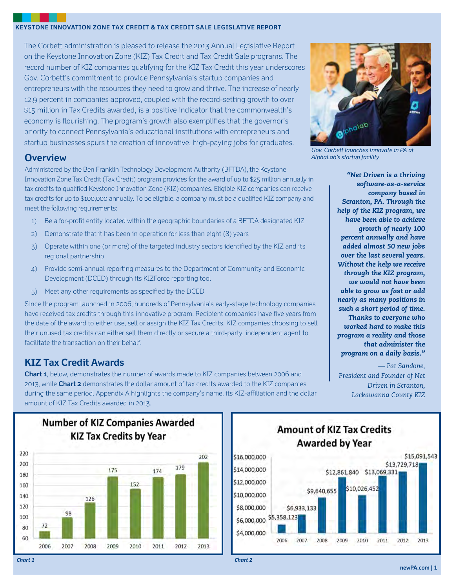#### **KEYSTONE INNOVATION ZONE TAX CREDIT & TAX CREDIT SALE LEGISLATIVE REPORT**

The Corbett administration is pleased to release the 2013 Annual Legislative Report on the Keystone Innovation Zone (KIZ) Tax Credit and Tax Credit Sale programs. The record number of KIZ companies qualifying for the KIZ Tax Credit this year underscores Gov. Corbett's commitment to provide Pennsylvania's startup companies and entrepreneurs with the resources they need to grow and thrive. The increase of nearly 12.9 percent in companies approved, coupled with the record-setting growth to over \$15 million in Tax Credits awarded, is a positive indicator that the commonwealth's economy is flourishing. The program's growth also exemplifies that the governor's priority to connect Pennsylvania's educational institutions with entrepreneurs and startup businesses spurs the creation of innovative, high-paying jobs for graduates.

#### **Overview**

Administered by the Ben Franklin Technology Development Authority (BFTDA), the Keystone Innovation Zone Tax Credit (Tax Credit) program provides for the award of up to \$25 million annually in tax credits to qualified Keystone Innovation Zone (KIZ) companies. Eligible KIZ companies can receive tax credits for up to \$100,000 annually. To be eligible, a company must be a qualified KIZ company and meet the following requirements:

- 1) Be a for-profit entity located within the geographic boundaries of a BFTDA designated KIZ
- 2) Demonstrate that it has been in operation for less than eight (8) years
- 3) Operate within one (or more) of the targeted industry sectors identified by the KIZ and its regional partnership
- 4) Provide semi-annual reporting measures to the Department of Community and Economic Development (DCED) through its KIZForce reporting tool
- 5) Meet any other requirements as specified by the DCED

Since the program launched in 2006, hundreds of Pennsylvania's early-stage technology companies have received tax credits through this innovative program. Recipient companies have five years from the date of the award to either use, sell or assign the KIZ Tax Credits. KIZ companies choosing to sell their unused tax credits can either sell them directly or secure a third-party, independent agent to facilitate the transaction on their behalf.

### **KIZ Tax Credit Awards**

**Chart 1**, below, demonstrates the number of awards made to KIZ companies between 2006 and 2013, while **Chart 2** demonstrates the dollar amount of tax credits awarded to the KIZ companies during the same period. Appendix A highlights the company's name, its KIZ-affiliation and the dollar amount of KIZ Tax Credits awarded in 2013.



*Gov. Corbett launches Innovate in PA at AlphaLab's startup facility*

*"Net Driven is a thriving software-as-a-service company based in Scranton, PA. Through the help of the KIZ program, we have been able to achieve growth of nearly 100 percent annually and have added almost 50 new jobs over the last several years. Without the help we receive through the KIZ program, we would not have been able to grow as fast or add nearly as many positions in such a short period of time. Thanks to everyone who worked hard to make this program a reality and those that administer the program on a daily basis."* 

*— Pat Sandone, President and Founder of Net Driven in Scranton, Lackawanna County KIZ*



**Number of KIZ Companies Awarded** 

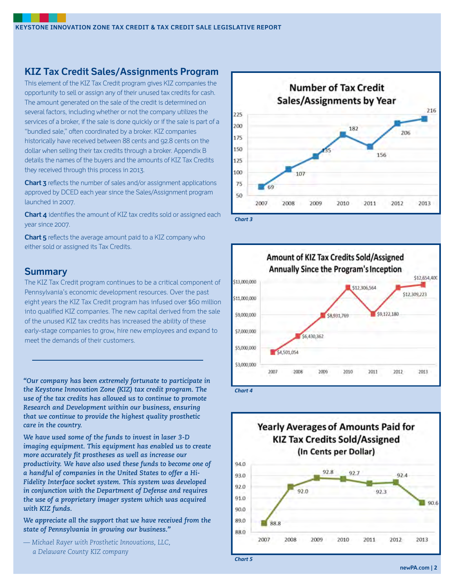## **KIZ Tax Credit Sales/Assignments Program**

This element of the KIZ Tax Credit program gives KIZ companies the opportunity to sell or assign any of their unused tax credits for cash. The amount generated on the sale of the credit is determined on several factors, including whether or not the company utilizes the services of a broker, if the sale is done quickly or if the sale is part of a "bundled sale," often coordinated by a broker. KIZ companies historically have received between 88 cents and 92.8 cents on the dollar when selling their tax credits through a broker. Appendix B details the names of the buyers and the amounts of KIZ Tax Credits they received through this process in 2013.

**Chart 3** reflects the number of sales and/or assignment applications approved by DCED each year since the Sales/Assignment program launched in 2007.

**Chart 4** identifies the amount of KIZ tax credits sold or assigned each year since 2007.

**Chart 5** reflects the average amount paid to a KIZ company who either sold or assigned its Tax Credits.

#### **Summary**

The KIZ Tax Credit program continues to be a critical component of Pennsylvania's economic development resources. Over the past eight years the KIZ Tax Credit program has infused over \$60 million into qualified KIZ companies. The new capital derived from the sale of the unused KIZ tax credits has increased the ability of these early-stage companies to grow, hire new employees and expand to meet the demands of their customers.

*"Our company has been extremely fortunate to participate in the Keystone Innovation Zone (KIZ) tax credit program. The use of the tax credits has allowed us to continue to promote Research and Development within our business, ensuring that we continue to provide the highest quality prosthetic care in the country.*

*We have used some of the funds to invest in laser 3-D imaging equipment. This equipment has enabled us to create more accurately fit prostheses as well as increase our productivity. We have also used these funds to become one of a handful of companies in the United States to offer a Hi-Fidelity Interface socket system. This system was developed in conjunction with the Department of Defense and requires the use of a proprietary imager system which was acquired with KIZ funds.* 

*We appreciate all the support that we have received from the state of Pennsylvania in growing our business."* 

*— Michael Rayer with Prosthetic Innovations, LLC, a Delaware County KIZ company*





**Yearly Averages of Amounts Paid for KIZ Tax Credits Sold/Assigned** (In Cents per Dollar) 94.0 97.8 92.7 93.0 92.4 92.0 92.0 92.3 91.0  $90.6$ 90.0 89.0 88.8 88.0 2007 2008 2009 2010 2013 2011 2012

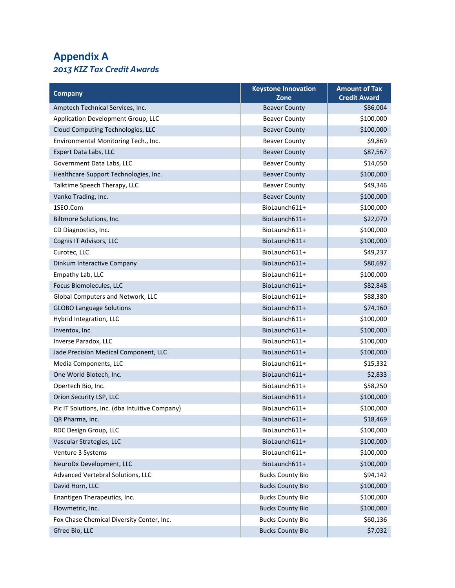## **Appendix A**  *2013 KIZ Tax Credit Awards*

| <b>Company</b>                                 | <b>Keystone Innovation</b><br>Zone | <b>Amount of Tax</b><br><b>Credit Award</b> |
|------------------------------------------------|------------------------------------|---------------------------------------------|
| Amptech Technical Services, Inc.               | <b>Beaver County</b>               | \$86,004                                    |
| Application Development Group, LLC             | <b>Beaver County</b>               | \$100,000                                   |
| Cloud Computing Technologies, LLC              | <b>Beaver County</b>               | \$100,000                                   |
| Environmental Monitoring Tech., Inc.           | <b>Beaver County</b>               | \$9,869                                     |
| Expert Data Labs, LLC                          | <b>Beaver County</b>               | \$87,567                                    |
| Government Data Labs, LLC                      | <b>Beaver County</b>               | \$14,050                                    |
| Healthcare Support Technologies, Inc.          | <b>Beaver County</b>               | \$100,000                                   |
| Talktime Speech Therapy, LLC                   | <b>Beaver County</b>               | \$49,346                                    |
| Vanko Trading, Inc.                            | <b>Beaver County</b>               | \$100,000                                   |
| 1SEO.Com                                       | BioLaunch611+                      | \$100,000                                   |
| Biltmore Solutions, Inc.                       | BioLaunch611+                      | \$22,070                                    |
| CD Diagnostics, Inc.                           | BioLaunch611+                      | \$100,000                                   |
| Cognis IT Advisors, LLC                        | BioLaunch611+                      | \$100,000                                   |
| Curotec, LLC                                   | BioLaunch611+                      | \$49,237                                    |
| Dinkum Interactive Company                     | BioLaunch611+                      | \$80,692                                    |
| Empathy Lab, LLC                               | BioLaunch611+                      | \$100,000                                   |
| Focus Biomolecules, LLC                        | BioLaunch611+                      | \$82,848                                    |
| Global Computers and Network, LLC              | BioLaunch611+                      | \$88,380                                    |
| <b>GLOBO Language Solutions</b>                | BioLaunch611+                      | \$74,160                                    |
| Hybrid Integration, LLC                        | BioLaunch611+                      | \$100,000                                   |
| Inventox, Inc.                                 | BioLaunch611+                      | \$100,000                                   |
| Inverse Paradox, LLC                           | BioLaunch611+                      | \$100,000                                   |
| Jade Precision Medical Component, LLC          | BioLaunch611+                      | \$100,000                                   |
| Media Components, LLC                          | BioLaunch611+                      | \$15,332                                    |
| One World Biotech, Inc.                        | BioLaunch611+                      | \$2,833                                     |
| Opertech Bio, Inc.                             | BioLaunch611+                      | \$58,250                                    |
| Orion Security LSP, LLC                        | BioLaunch611+                      | \$100,000                                   |
| Pic IT Solutions, Inc. (dba Intuitive Company) | BioLaunch611+                      | \$100,000                                   |
| QR Pharma, Inc.                                | BioLaunch611+                      | \$18,469                                    |
| RDC Design Group, LLC                          | BioLaunch611+                      | \$100,000                                   |
| Vascular Strategies, LLC                       | BioLaunch611+                      | \$100,000                                   |
| Venture 3 Systems                              | BioLaunch611+                      | \$100,000                                   |
| NeuroDx Development, LLC                       | BioLaunch611+                      | \$100,000                                   |
| Advanced Vertebral Solutions, LLC              | <b>Bucks County Bio</b>            | \$94,142                                    |
| David Horn, LLC                                | <b>Bucks County Bio</b>            | \$100,000                                   |
| Enantigen Therapeutics, Inc.                   | <b>Bucks County Bio</b>            | \$100,000                                   |
| Flowmetric, Inc.                               | <b>Bucks County Bio</b>            | \$100,000                                   |
| Fox Chase Chemical Diversity Center, Inc.      | <b>Bucks County Bio</b>            | \$60,136                                    |
| Gfree Bio, LLC                                 | <b>Bucks County Bio</b>            | \$7,032                                     |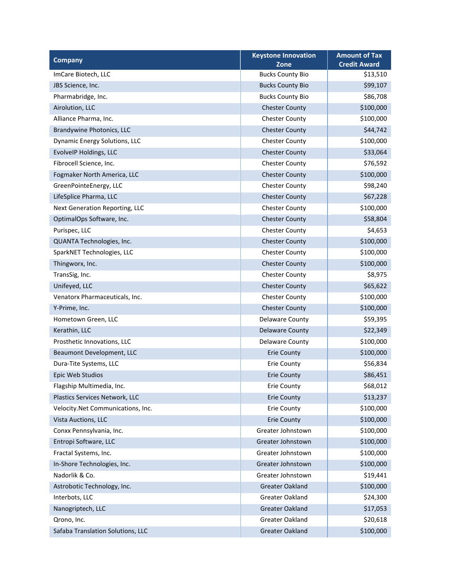| <b>Company</b>                    | <b>Keystone Innovation</b>      | <b>Amount of Tax</b>            |
|-----------------------------------|---------------------------------|---------------------------------|
| ImCare Biotech, LLC               | Zone<br><b>Bucks County Bio</b> | <b>Credit Award</b><br>\$13,510 |
|                                   |                                 |                                 |
| JBS Science, Inc.                 | <b>Bucks County Bio</b>         | \$99,107<br>\$86,708            |
| Pharmabridge, Inc.                | <b>Bucks County Bio</b>         |                                 |
| Airolution, LLC                   | <b>Chester County</b>           | \$100,000                       |
| Alliance Pharma, Inc.             | <b>Chester County</b>           | \$100,000                       |
| Brandywine Photonics, LLC         | <b>Chester County</b>           | \$44,742                        |
| Dynamic Energy Solutions, LLC     | <b>Chester County</b>           | \$100,000                       |
| EvolveIP Holdings, LLC            | <b>Chester County</b>           | \$33,064                        |
| Fibrocell Science, Inc.           | <b>Chester County</b>           | \$76,592                        |
| Fogmaker North America, LLC       | <b>Chester County</b>           | \$100,000                       |
| GreenPointeEnergy, LLC            | <b>Chester County</b>           | \$98,240                        |
| LifeSplice Pharma, LLC            | <b>Chester County</b>           | \$67,228                        |
| Next Generation Reporting, LLC    | <b>Chester County</b>           | \$100,000                       |
| OptimalOps Software, Inc.         | <b>Chester County</b>           | \$58,804                        |
| Purispec, LLC                     | <b>Chester County</b>           | \$4,653                         |
| QUANTA Technologies, Inc.         | <b>Chester County</b>           | \$100,000                       |
| SparkNET Technologies, LLC        | <b>Chester County</b>           | \$100,000                       |
| Thingworx, Inc.                   | <b>Chester County</b>           | \$100,000                       |
| TransSig, Inc.                    | <b>Chester County</b>           | \$8,975                         |
| Unifeyed, LLC                     | <b>Chester County</b>           | \$65,622                        |
| Venatorx Pharmaceuticals, Inc.    | <b>Chester County</b>           | \$100,000                       |
| Y-Prime, Inc.                     | <b>Chester County</b>           | \$100,000                       |
| Hometown Green, LLC               | Delaware County                 | \$59,395                        |
| Kerathin, LLC                     | <b>Delaware County</b>          | \$22,349                        |
| Prosthetic Innovations, LLC       | Delaware County                 | \$100,000                       |
| Beaumont Development, LLC         | <b>Erie County</b>              | \$100,000                       |
| Dura-Tite Systems, LLC            | <b>Erie County</b>              | \$56,834                        |
| Epic Web Studios                  | <b>Erie County</b>              | \$86,451                        |
| Flagship Multimedia, Inc.         | Erie County                     | \$68,012                        |
| Plastics Services Network, LLC    | <b>Erie County</b>              | \$13,237                        |
| Velocity.Net Communications, Inc. | Erie County                     | \$100,000                       |
| Vista Auctions, LLC               | <b>Erie County</b>              | \$100,000                       |
| Conxx Pennsylvania, Inc.          | Greater Johnstown               | \$100,000                       |
| Entropi Software, LLC             | Greater Johnstown               | \$100,000                       |
| Fractal Systems, Inc.             | Greater Johnstown               | \$100,000                       |
| In-Shore Technologies, Inc.       | Greater Johnstown               | \$100,000                       |
| Nadorlik & Co.                    | Greater Johnstown               | \$19,441                        |
| Astrobotic Technology, Inc.       | Greater Oakland                 | \$100,000                       |
| Interbots, LLC                    | Greater Oakland                 | \$24,300                        |
| Nanogriptech, LLC                 | Greater Oakland                 | \$17,053                        |
| Qrono, Inc.                       | Greater Oakland                 | \$20,618                        |
| Safaba Translation Solutions, LLC | Greater Oakland                 | \$100,000                       |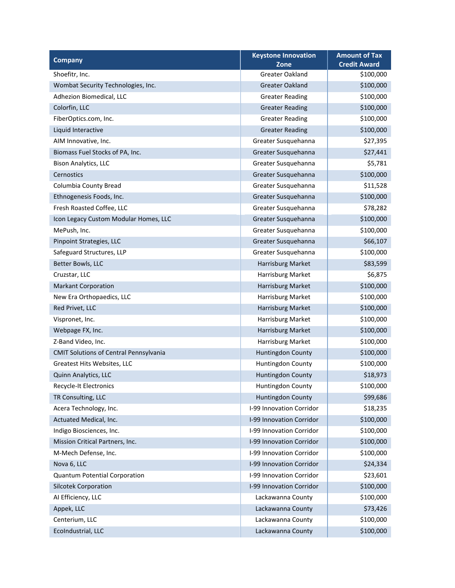| <b>Company</b>                                | <b>Keystone Innovation</b> | <b>Amount of Tax</b> |
|-----------------------------------------------|----------------------------|----------------------|
|                                               | Zone                       | <b>Credit Award</b>  |
| Shoefitr, Inc.                                | <b>Greater Oakland</b>     | \$100,000            |
| Wombat Security Technologies, Inc.            | <b>Greater Oakland</b>     | \$100,000            |
| Adhezion Biomedical, LLC                      | <b>Greater Reading</b>     | \$100,000            |
| Colorfin, LLC                                 | <b>Greater Reading</b>     | \$100,000            |
| FiberOptics.com, Inc.                         | <b>Greater Reading</b>     | \$100,000            |
| Liquid Interactive                            | <b>Greater Reading</b>     | \$100,000            |
| AIM Innovative, Inc.                          | Greater Susquehanna        | \$27,395             |
| Biomass Fuel Stocks of PA, Inc.               | Greater Susquehanna        | \$27,441             |
| <b>Bison Analytics, LLC</b>                   | Greater Susquehanna        | \$5,781              |
| Cernostics                                    | Greater Susquehanna        | \$100,000            |
| Columbia County Bread                         | Greater Susquehanna        | \$11,528             |
| Ethnogenesis Foods, Inc.                      | Greater Susquehanna        | \$100,000            |
| Fresh Roasted Coffee, LLC                     | Greater Susquehanna        | \$78,282             |
| Icon Legacy Custom Modular Homes, LLC         | Greater Susquehanna        | \$100,000            |
| MePush, Inc.                                  | Greater Susquehanna        | \$100,000            |
| Pinpoint Strategies, LLC                      | Greater Susquehanna        | \$66,107             |
| Safeguard Structures, LLP                     | Greater Susquehanna        | \$100,000            |
| Better Bowls, LLC                             | Harrisburg Market          | \$83,599             |
| Cruzstar, LLC                                 | Harrisburg Market          | \$6,875              |
| <b>Markant Corporation</b>                    | Harrisburg Market          | \$100,000            |
| New Era Orthopaedics, LLC                     | Harrisburg Market          | \$100,000            |
| Red Privet, LLC                               | Harrisburg Market          | \$100,000            |
| Vispronet, Inc.                               | Harrisburg Market          | \$100,000            |
| Webpage FX, Inc.                              | Harrisburg Market          | \$100,000            |
| Z-Band Video, Inc.                            | Harrisburg Market          | \$100,000            |
| <b>CMIT Solutions of Central Pennsylvania</b> | <b>Huntingdon County</b>   | \$100,000            |
| Greatest Hits Websites, LLC                   | Huntingdon County          | \$100,000            |
| Quinn Analytics, LLC                          | <b>Huntingdon County</b>   | \$18,973             |
| Recycle-It Electronics                        | Huntingdon County          | \$100,000            |
| TR Consulting, LLC                            | <b>Huntingdon County</b>   | \$99,686             |
| Acera Technology, Inc.                        | I-99 Innovation Corridor   | \$18,235             |
| Actuated Medical, Inc.                        | I-99 Innovation Corridor   | \$100,000            |
| Indigo Biosciences, Inc.                      | I-99 Innovation Corridor   | \$100,000            |
| Mission Critical Partners, Inc.               | I-99 Innovation Corridor   | \$100,000            |
| M-Mech Defense, Inc.                          | I-99 Innovation Corridor   | \$100,000            |
| Nova 6, LLC                                   | I-99 Innovation Corridor   | \$24,334             |
| <b>Quantum Potential Corporation</b>          | I-99 Innovation Corridor   | \$23,601             |
| <b>Silcotek Corporation</b>                   | I-99 Innovation Corridor   | \$100,000            |
| AI Efficiency, LLC                            | Lackawanna County          | \$100,000            |
| Appek, LLC                                    | Lackawanna County          | \$73,426             |
| Centerium, LLC                                | Lackawanna County          | \$100,000            |
| EcoIndustrial, LLC                            | Lackawanna County          | \$100,000            |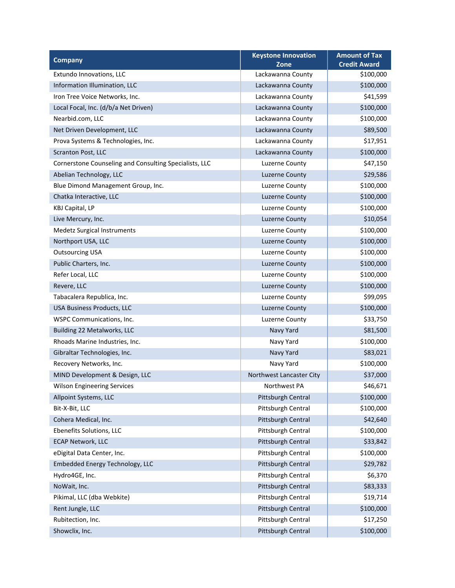| <b>Company</b>                                         | <b>Keystone Innovation</b><br>Zone | <b>Amount of Tax</b><br><b>Credit Award</b> |
|--------------------------------------------------------|------------------------------------|---------------------------------------------|
| Extundo Innovations, LLC                               | Lackawanna County                  | \$100,000                                   |
| Information Illumination, LLC                          | Lackawanna County                  | \$100,000                                   |
| Iron Tree Voice Networks, Inc.                         | Lackawanna County                  | \$41,599                                    |
| Local Focal, Inc. (d/b/a Net Driven)                   | Lackawanna County                  | \$100,000                                   |
| Nearbid.com, LLC                                       | Lackawanna County                  | \$100,000                                   |
| Net Driven Development, LLC                            | Lackawanna County                  | \$89,500                                    |
| Prova Systems & Technologies, Inc.                     | Lackawanna County                  | \$17,951                                    |
| <b>Scranton Post, LLC</b>                              | Lackawanna County                  | \$100,000                                   |
| Cornerstone Counseling and Consulting Specialists, LLC | Luzerne County                     | \$47,150                                    |
| Abelian Technology, LLC                                | Luzerne County                     | \$29,586                                    |
| Blue Dimond Management Group, Inc.                     | Luzerne County                     | \$100,000                                   |
| Chatka Interactive, LLC                                | Luzerne County                     | \$100,000                                   |
| <b>KBJ Capital, LP</b>                                 | Luzerne County                     | \$100,000                                   |
| Live Mercury, Inc.                                     | Luzerne County                     | \$10,054                                    |
| <b>Medetz Surgical Instruments</b>                     | Luzerne County                     | \$100,000                                   |
| Northport USA, LLC                                     | <b>Luzerne County</b>              | \$100,000                                   |
| <b>Outsourcing USA</b>                                 | Luzerne County                     | \$100,000                                   |
| Public Charters, Inc.                                  | Luzerne County                     | \$100,000                                   |
| Refer Local, LLC                                       | Luzerne County                     | \$100,000                                   |
| Revere, LLC                                            | Luzerne County                     | \$100,000                                   |
| Tabacalera Republica, Inc.                             | <b>Luzerne County</b>              | \$99,095                                    |
| USA Business Products, LLC                             | Luzerne County                     | \$100,000                                   |
| <b>WSPC Communications, Inc.</b>                       | Luzerne County                     | \$33,750                                    |
| Building 22 Metalworks, LLC                            | Navy Yard                          | \$81,500                                    |
| Rhoads Marine Industries, Inc.                         | Navy Yard                          | \$100,000                                   |
| Gibraltar Technologies, Inc.                           | Navy Yard                          | \$83,021                                    |
| Recovery Networks, Inc.                                | Navy Yard                          | \$100,000                                   |
| MIND Development & Design, LLC                         | Northwest Lancaster City           | \$37,000                                    |
| <b>Wilson Engineering Services</b>                     | Northwest PA                       | \$46,671                                    |
| Allpoint Systems, LLC                                  | Pittsburgh Central                 | \$100,000                                   |
| Bit-X-Bit, LLC                                         | Pittsburgh Central                 | \$100,000                                   |
| Cohera Medical, Inc.                                   | Pittsburgh Central                 | \$42,640                                    |
| Ebenefits Solutions, LLC                               | Pittsburgh Central                 | \$100,000                                   |
| <b>ECAP Network, LLC</b>                               | Pittsburgh Central                 | \$33,842                                    |
| eDigital Data Center, Inc.                             | Pittsburgh Central                 | \$100,000                                   |
| Embedded Energy Technology, LLC                        | Pittsburgh Central                 | \$29,782                                    |
| Hydro4GE, Inc.                                         | Pittsburgh Central                 | \$6,370                                     |
| NoWait, Inc.                                           | Pittsburgh Central                 | \$83,333                                    |
| Pikimal, LLC (dba Webkite)                             | Pittsburgh Central                 | \$19,714                                    |
| Rent Jungle, LLC                                       | Pittsburgh Central                 | \$100,000                                   |
| Rubitection, Inc.                                      | Pittsburgh Central                 | \$17,250                                    |
| Showclix, Inc.                                         | Pittsburgh Central                 | \$100,000                                   |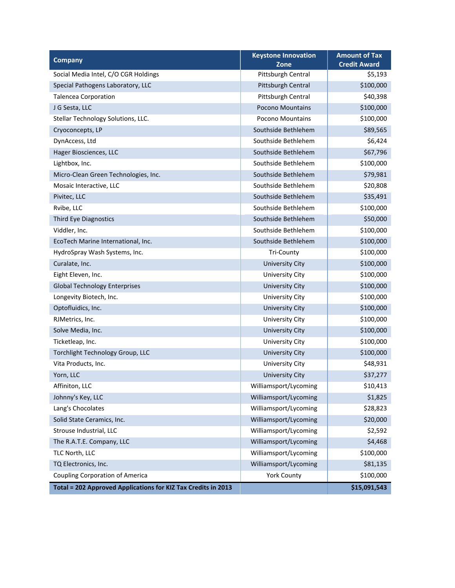| <b>Company</b>                                                | <b>Keystone Innovation</b><br>Zone | <b>Amount of Tax</b><br><b>Credit Award</b> |
|---------------------------------------------------------------|------------------------------------|---------------------------------------------|
| Social Media Intel, C/O CGR Holdings                          | Pittsburgh Central                 | \$5,193                                     |
| Special Pathogens Laboratory, LLC                             | Pittsburgh Central                 | \$100,000                                   |
| <b>Talencea Corporation</b>                                   | Pittsburgh Central                 | \$40,398                                    |
| J G Sesta, LLC                                                | <b>Pocono Mountains</b>            | \$100,000                                   |
| Stellar Technology Solutions, LLC.                            | Pocono Mountains                   | \$100,000                                   |
| Cryoconcepts, LP                                              | Southside Bethlehem                | \$89,565                                    |
| DynAccess, Ltd                                                | Southside Bethlehem                | \$6,424                                     |
| Hager Biosciences, LLC                                        | Southside Bethlehem                | \$67,796                                    |
| Lightbox, Inc.                                                | Southside Bethlehem                | \$100,000                                   |
| Micro-Clean Green Technologies, Inc.                          | Southside Bethlehem                | \$79,981                                    |
| Mosaic Interactive, LLC                                       | Southside Bethlehem                | \$20,808                                    |
| Pivitec, LLC                                                  | Southside Bethlehem                | \$35,491                                    |
| Rvibe, LLC                                                    | Southside Bethlehem                | \$100,000                                   |
| Third Eye Diagnostics                                         | Southside Bethlehem                | \$50,000                                    |
| Viddler, Inc.                                                 | Southside Bethlehem                | \$100,000                                   |
| EcoTech Marine International, Inc.                            | Southside Bethlehem                | \$100,000                                   |
| HydroSpray Wash Systems, Inc.                                 | <b>Tri-County</b>                  | \$100,000                                   |
| Curalate, Inc.                                                | <b>University City</b>             | \$100,000                                   |
| Eight Eleven, Inc.                                            | University City                    | \$100,000                                   |
| <b>Global Technology Enterprises</b>                          | <b>University City</b>             | \$100,000                                   |
| Longevity Biotech, Inc.                                       | <b>University City</b>             | \$100,000                                   |
| Optofluidics, Inc.                                            | <b>University City</b>             | \$100,000                                   |
| RJMetrics, Inc.                                               | University City                    | \$100,000                                   |
| Solve Media, Inc.                                             | <b>University City</b>             | \$100,000                                   |
| Ticketleap, Inc.                                              | University City                    | \$100,000                                   |
| Torchlight Technology Group, LLC                              | <b>University City</b>             | \$100,000                                   |
| Vita Products, Inc.                                           | <b>University City</b>             | \$48,931                                    |
| Yorn, LLC                                                     | <b>University City</b>             | \$37,277                                    |
| Affiniton, LLC                                                | Williamsport/Lycoming              | \$10,413                                    |
| Johnny's Key, LLC                                             | Williamsport/Lycoming              | \$1,825                                     |
| Lang's Chocolates                                             | Williamsport/Lycoming              | \$28,823                                    |
| Solid State Ceramics, Inc.                                    | Williamsport/Lycoming              | \$20,000                                    |
| Strouse Industrial, LLC                                       | Williamsport/Lycoming              | \$2,592                                     |
| The R.A.T.E. Company, LLC                                     | Williamsport/Lycoming              | \$4,468                                     |
| TLC North, LLC                                                | Williamsport/Lycoming              | \$100,000                                   |
| TQ Electronics, Inc.                                          | Williamsport/Lycoming              | \$81,135                                    |
| <b>Coupling Corporation of America</b>                        | <b>York County</b>                 | \$100,000                                   |
| Total = 202 Approved Applications for KIZ Tax Credits in 2013 |                                    | \$15,091,543                                |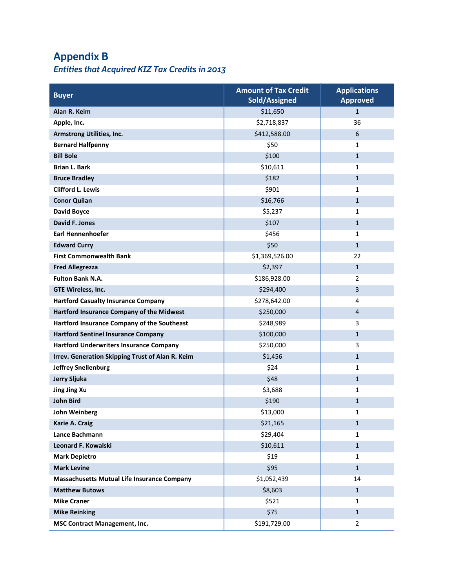# **Appendix B**

## *Entities that Acquired KIZ Tax Credits in 2013*

| <b>Buyer</b>                                       | <b>Amount of Tax Credit</b><br><b>Sold/Assigned</b> | <b>Applications</b><br><b>Approved</b> |
|----------------------------------------------------|-----------------------------------------------------|----------------------------------------|
| Alan R. Keim                                       | \$11,650                                            | $\mathbf{1}$                           |
| Apple, Inc.                                        | \$2,718,837                                         | 36                                     |
| <b>Armstrong Utilities, Inc.</b>                   | \$412,588.00                                        | 6                                      |
| <b>Bernard Halfpenny</b>                           | \$50                                                | 1                                      |
| <b>Bill Bole</b>                                   | \$100                                               | $\mathbf{1}$                           |
| <b>Brian L. Bark</b>                               | \$10,611                                            | 1                                      |
| <b>Bruce Bradley</b>                               | \$182                                               | $\mathbf{1}$                           |
| <b>Clifford L. Lewis</b>                           | \$901                                               | 1                                      |
| <b>Conor Quilan</b>                                | \$16,766                                            | $\mathbf{1}$                           |
| <b>David Boyce</b>                                 | \$5,237                                             | 1                                      |
| <b>David F. Jones</b>                              | \$107                                               | $\mathbf{1}$                           |
| <b>Earl Hennenhoefer</b>                           | \$456                                               | 1                                      |
| <b>Edward Curry</b>                                | \$50                                                | $\mathbf{1}$                           |
| <b>First Commonwealth Bank</b>                     | \$1,369,526.00                                      | 22                                     |
| <b>Fred Allegrezza</b>                             | \$2,397                                             | $\mathbf{1}$                           |
| <b>Fulton Bank N.A.</b>                            | \$186,928.00                                        | $\overline{2}$                         |
| GTE Wireless, Inc.                                 | \$294,400                                           | $\overline{3}$                         |
| <b>Hartford Casualty Insurance Company</b>         | \$278,642.00                                        | 4                                      |
| Hartford Insurance Company of the Midwest          | \$250,000                                           | $\overline{4}$                         |
| Hartford Insurance Company of the Southeast        | \$248,989                                           | 3                                      |
| <b>Hartford Sentinel Insurance Company</b>         | \$100,000                                           | $\mathbf{1}$                           |
| <b>Hartford Underwriters Insurance Company</b>     | \$250,000                                           | 3                                      |
| Irrev. Generation Skipping Trust of Alan R. Keim   | \$1,456                                             | $\mathbf{1}$                           |
| <b>Jeffrey Snellenburg</b>                         | \$24                                                | 1                                      |
| <b>Jerry Sljuka</b>                                | \$48                                                | $\mathbf{1}$                           |
| <b>Jing Jing Xu</b>                                | \$3,688                                             | 1                                      |
| <b>John Bird</b>                                   | \$190                                               | $\mathbf{1}$                           |
| John Weinberg                                      | \$13,000                                            | 1                                      |
| Karie A. Craig                                     | \$21,165                                            | $\mathbf 1$                            |
| Lance Bachmann                                     | \$29,404                                            | 1                                      |
| Leonard F. Kowalski                                | \$10,611                                            | $\mathbf{1}$                           |
| <b>Mark Depietro</b>                               | \$19                                                | 1                                      |
| <b>Mark Levine</b>                                 | \$95                                                | $\mathbf{1}$                           |
| <b>Massachusetts Mutual Life Insurance Company</b> | \$1,052,439                                         | 14                                     |
| <b>Matthew Butows</b>                              | \$8,603                                             | $\mathbf{1}$                           |
| <b>Mike Craner</b>                                 | \$521                                               | 1                                      |
| <b>Mike Reinking</b>                               | \$75                                                | $\mathbf{1}$                           |
| <b>MSC Contract Management, Inc.</b>               | \$191,729.00                                        | $\overline{2}$                         |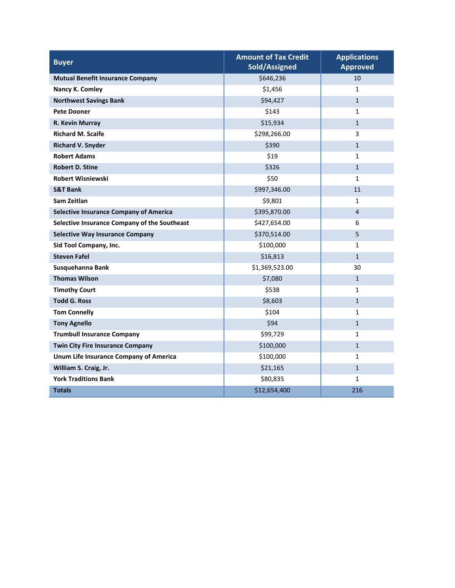| <b>Buyer</b>                                  | <b>Amount of Tax Credit</b><br>Sold/Assigned | <b>Applications</b><br><b>Approved</b> |
|-----------------------------------------------|----------------------------------------------|----------------------------------------|
| <b>Mutual Benefit Insurance Company</b>       | \$646,236                                    | 10                                     |
| Nancy K. Comley                               | \$1,456                                      | $\mathbf{1}$                           |
| <b>Northwest Savings Bank</b>                 | \$94,427                                     | $\mathbf{1}$                           |
| <b>Pete Dooner</b>                            | \$143                                        | $\mathbf{1}$                           |
| R. Kevin Murray                               | \$15,934                                     | $\mathbf{1}$                           |
| <b>Richard M. Scaife</b>                      | \$298,266.00                                 | 3                                      |
| <b>Richard V. Snyder</b>                      | \$390                                        | $\mathbf{1}$                           |
| <b>Robert Adams</b>                           | \$19                                         | 1                                      |
| <b>Robert D. Stine</b>                        | \$326                                        | $\mathbf{1}$                           |
| <b>Robert Wisniewski</b>                      | \$50                                         | $\mathbf{1}$                           |
| <b>S&amp;T Bank</b>                           | \$997,346.00                                 | 11                                     |
| Sam Zeitlan                                   | \$9,801                                      | $\mathbf{1}$                           |
| <b>Selective Insurance Company of America</b> | \$395,870.00                                 | $\overline{4}$                         |
| Selective Insurance Company of the Southeast  | \$427,654.00                                 | 6                                      |
| <b>Selective Way Insurance Company</b>        | \$370,514.00                                 | 5                                      |
| Sid Tool Company, Inc.                        | \$100,000                                    | 1                                      |
| <b>Steven Fafel</b>                           | \$16,813                                     | $\mathbf{1}$                           |
| Susquehanna Bank                              | \$1,369,523.00                               | 30                                     |
| <b>Thomas Wilson</b>                          | \$7,080                                      | $\mathbf{1}$                           |
| <b>Timothy Court</b>                          | \$538                                        | $\mathbf{1}$                           |
| <b>Todd G. Ross</b>                           | \$8,603                                      | $\mathbf{1}$                           |
| <b>Tom Connelly</b>                           | \$104                                        | $\mathbf{1}$                           |
| <b>Tony Agnello</b>                           | \$94                                         | $\mathbf{1}$                           |
| <b>Trumbull Insurance Company</b>             | \$99,729                                     | $\mathbf{1}$                           |
| <b>Twin City Fire Insurance Company</b>       | \$100,000                                    | $\mathbf{1}$                           |
| Unum Life Insurance Company of America        | \$100,000                                    | $\mathbf{1}$                           |
| William S. Craig, Jr.                         | \$21,165                                     | $\mathbf{1}$                           |
| <b>York Traditions Bank</b>                   | \$80,835                                     | $\mathbf{1}$                           |
| <b>Totals</b>                                 | \$12,654,400                                 | 216                                    |